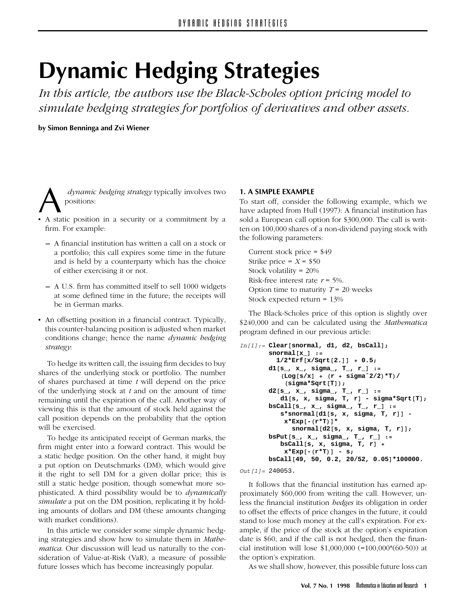# **Dynamic Hedging Strategies**

*In this article, the authors use the Black-Scholes option pricing model to simulate hedging strategies for portfolios of derivatives and other assets.*

**by Simon Benninga and Zvi Wiener**

*dynamic hedging strategy* typically involves two<br>
• A static position in a security or a commitment by a positions:

- firm. For example:
	- **–** A financial institution has written a call on a stock or a portfolio; this call expires some time in the future and is held by a counterparty which has the choice of either exercising it or not.
	- **–** A U.S. firm has committed itself to sell 1000 widgets at some defined time in the future; the receipts will be in German marks.
- An offsetting position in a financial contract. Typically, this counter-balancing position is adjusted when market conditions change; hence the name *dynamic hedging strategy*:

To hedge its written call, the issuing firm decides to buy shares of the underlying stock or portfolio. The number of shares purchased at time *t* will depend on the price of the underlying stock at *t* and on the amount of time remaining until the expiration of the call. Another way of viewing this is that the amount of stock held against the call position depends on the probability that the option will be exercised.

To hedge its anticipated receipt of German marks, the firm might enter into a forward contract. This would be a static hedge position. On the other hand, it might buy a put option on Deutschmarks (DM), which would give it the right to sell DM for a given dollar price; this is still a static hedge position, though somewhat more sophisticated. A third possibility would be to *dynamically simulate* a put on the DM position, replicating it by holding amounts of dollars and DM (these amounts changing with market conditions).

In this article we consider some simple dynamic hedging strategies and show how to simulate them in *Mathematica*. Our discussion will lead us naturally to the consideration of Value-at-Risk (VaR), a measure of possible future losses which has become increasingly popular.

#### **1. A SIMPLE EXAMPLE**

To start off, consider the following example, which we have adapted from Hull (1997): A financial institution has sold a European call option for \$300,000. The call is written on 100,000 shares of a non-dividend paying stock with the following parameters:

Current stock price = \$49 Strike price =  $X = $50$ Stock volatility = 20% Risk-free interest rate *r* = 5%. Option time to maturity  $T = 20$  weeks Stock expected return = 13%

The Black-Scholes price of this option is slightly over \$240,000 and can be calculated using the *Mathematica* program defined in our previous article:

```
In[1]:= Clear[snormal, d1, d2, bsCall];
```

```
snormal[x_] :=
 1/2*Erf[x/Sqrt[2.]] + 0.5;
d1[s_, x_, sigma_, T_, r_] :=
   (Log[s/x]+(r + sigmaˆ2/2)*T)/
    (sigma*Sqrt[T]);
d2[s_, x_, sigma_, T_, r_] :=
   d1[s, x, sigma, T, r] - sigma*Sqrt[T];
bsCall[s_, x_, sigma_, T_, r_] :=
   s*snormal[d1[s, x, sigma, T, r]] -
    x*Exp[-(r*T)]*
      snormal[d2[s, x, sigma, T, r]];
bsPut[s_, x_, sigma_, T_, r_] :=
   bsCall[s, x, sigma, T, r] +
    x*Exp[-(r*T)] - s;
bsCall[49, 50, 0.2, 20/52, 0.05]*100000.
```
*Out[1]=* 240053.

It follows that the financial institution has earned approximately \$60,000 from writing the call. However, unless the financial institution *hedges* its obligation in order to offset the effects of price changes in the future, it could stand to lose much money at the call's expiration. For example, if the price of the stock at the option's expiration date is \$60, and if the call is not hedged, then the financial institution will lose \$1,000,000 (=100,000\*(60-50)) at the option's expiration.

As we shall show, however, this possible future loss can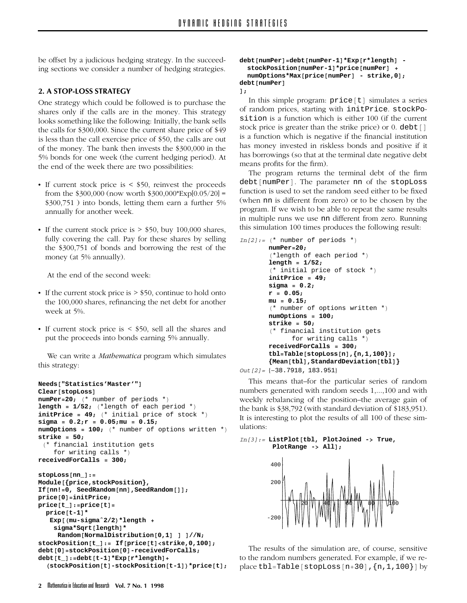be offset by a judicious hedging strategy. In the succeeding sections we consider a number of hedging strategies.

# **2. A STOP-LOSS STRATEGY**

One strategy which could be followed is to purchase the shares only if the calls are in the money. This strategy looks something like the following: Initially, the bank sells the calls for \$300,000. Since the current share price of \$49 is less than the call exercise price of \$50, the calls are out of the money. The bank then invests the \$300,000 in the 5% bonds for one week (the current hedging period). At the end of the week there are two possibilities:

- If current stock price is  $\le$  \$50, reinvest the proceeds from the  $$300,000$  (now worth  $$300,000*Exp[0.05/20] =$ \$300,751 ) into bonds, letting them earn a further 5% annually for another week.
- If the current stock price is  $>$  \$50, buy 100,000 shares, fully covering the call. Pay for these shares by selling the \$300,751 of bonds and borrowing the rest of the money (at 5% annually).

At the end of the second week:

- If the current stock price is  $>$  \$50, continue to hold onto the 100,000 shares, refinancing the net debt for another week at 5%.
- If current stock price is  $\lt$  \$50, sell all the shares and put the proceeds into bonds earning 5% annually.

We can write a *Mathematica* program which simulates this strategy:

```
Needs["Statistics'Master'"]
Clear[stopLoss]
numPer=20; (* number of periods *)
length = 1/52; (*length of each period *)
initPrice = 49; (* initial price of stock *)
sigma = 0.2;r = 0.05;mu = 0.15;
numOptions = 100; (* number of options written *)
strike = 50;
 (* financial institution gets
    for writing calls *)
receivedForCalls = 300;
stopLoss[nn_]:=
Module[{price,stockPosition},
If[nn!=0, SeedRandom[nn],SeedRandom[]];
price[0]=initPrice;
price[t_]:=price[t]=
  price[t-1]*
   Exp[(mu-sigmaˆ2/2)*length +
    sigma*Sqrt[length]*
     Random[NormalDistribution[0,1]]]//N;
stockPosition[t_]:= If[price[t]<strike,0,100];
debt[0]=stockPosition[0]-receivedForCalls;
debt[t_]:=debt[t-1]*Exp[r*length]+
  (stockPosition[t]-stockPosition[t-1])*price[t];
```

```
debt[numPer]=debt[numPer-1]*Exp[r*length] -
  stockPosition[numPer-1]*price[numPer] +
 numOptions*Max[price[numPer] - strike,0];
debt[numPer]
];
```
In this simple program: price[t] simulates a series of random prices, starting with initPrice. stockPosition is a function which is either 100 (if the current stock price is greater than the strike price) or 0. debt [] is a function which is negative if the financial institution has money invested in riskless bonds and positive if it has borrowings (so that at the terminal date negative debt means profits for the firm).

The program returns the terminal debt of the firm debt[numPer]. The parameter nn of the stopLoss function is used to set the random seed either to be fixed (when nn is different from zero) or to be chosen by the program. If we wish to be able to repeat the same results in multiple runs we use nn different from zero. Running this simulation 100 times produces the following result:

```
In[2]:= (* number of periods *)
       numPer=20;
       (*length of each period *)
       length = 1/52;
       (* initial price of stock *)
       initPrice = 49;
       sigma = 0.2;
       r = 0.05;
       mu = 0.15;
       (* number of options written *)
       numOptions = 100;
       strike = 50;
       (* financial institution gets
             for writing calls *)
       receivedForCalls = 300;
       tbl=Table[stopLoss[n],{n,1,100}];
       {Mean[tbl],StandardDeviation[tbl]}
Out[2]= {-38.7918, 183.951}
```
This means that–for the particular series of random numbers generated with random seeds 1,...,100 and with weekly rebalancing of the position–the average gain of the bank is \$38,792 (with standard deviation of \$183,951). It is interesting to plot the results of all 100 of these simulations:

```
In[3]:= ListPlot[tbl, PlotJoined -> True,
        PlotRange -> All];
```


The results of the simulation are, of course, sensitive to the random numbers generated. For example, if we replace tbl=Table [stopLoss  $[n+30]$ ,  $\{n,1,100\}$ ] by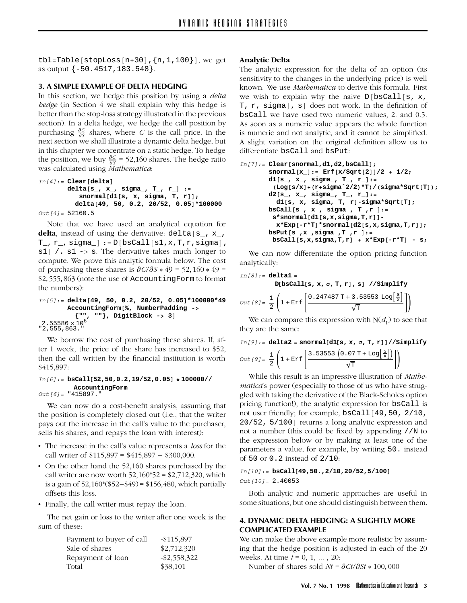tbl=Table[stopLoss[n+30], $\{n, 1, 100\}$ ], we get as output {-50.4517,183.548}.

# **3. A SIMPLE EXAMPLE OF DELTA HEDGING**

In this section, we hedge this position by using a *delta hedge* (in Section 4 we shall explain why this hedge is better than the stop-loss strategy illustrated in the previous section). In a delta hedge, we hedge the call position by purchasing  $\frac{\partial C}{\partial S}$  shares, where *C* is the call price. In the next section we shall illustrate a dynamic delta hedge, but in this chapter we concentrate on a static hedge. To hedge the position, we buy  $\frac{\partial C}{\partial S}$  = 52,160 shares. The hedge ratio was calculated using *Mathematica*:

```
In[4]:= Clear[delta]
       delta[s_, x_, sigma_, T_, r_] :=
          snormal[d1[s, x, sigma, T, r]];
         delta[49, 50, 0.2, 20/52, 0.05]*100000
```
*Out[4]=* 52160.5

Note that we have used an analytical equation for delta, instead of using the derivative: delta[s\_, x\_,  $T_$ ,  $r_$ , sigma $_$  :=  $D[bsCall[s1,x,T,r,sigm]$ ,  $s1$  / .  $s1 \rightarrow s$ . The derivative takes much longer to compute. We prove this analytic formula below. The cost of purchasing these shares is ∂*C/*∂*S* \* 49 = 52*,* 160 \* 49 = \$2*,* 555*,* 863 (note the use of AccountingForm to format the numbers):

```
In[5]:= delta[49, 50, 0.2, 20/52, 0.05]*100000*49
        AccountingForm[%, NumberPadding ->
           {"", ""}, DigitBlock -> 3]
2.55586 \times 10^6<br>"2,555,863."
```
We borrow the cost of purchasing these shares. If, after 1 week, the price of the share has increased to \$52, then the call written by the financial institution is worth \$415,897:

```
In[6]:= bsCall[52,50,0.2,19/52,0.05] ∗ 100000//
         AccountingForm
Out[6]= "415897."
```
We can now do a cost-benefit analysis, assuming that the position is completely closed out (i.e., that the writer pays out the increase in the call's value to the purchaser, sells his shares, and repays the loan with interest):

- The increase in the call's value represents a *loss* for the call writer of  $$115,897 = $415,897 - $300,000$ .
- On the other hand the 52,160 shares purchased by the call writer are now worth  $52,160*52 = $2,712,320$ , which is a gain of 52,160\*(\$52-\$49)= \$156,480, which partially offsets this loss.
- Finally, the call writer must repay the loan.

The net gain or loss to the writer after one week is the sum of these:

| Payment to buyer of call | $-$115,897$     |
|--------------------------|-----------------|
| Sale of shares           | \$2,712,320     |
| Repayment of loan        | $-$ \$2,558,322 |
| Total                    | \$38,101        |

#### **Analytic Delta**

The analytic expression for the delta of an option (its sensitivity to the changes in the underlying price) is well known. We use *Mathematica* to derive this formula. First we wish to explain why the naive  $D[\text{bsCall}[s, x,$ T, r, sigma], s] does not work. In the definition of bsCall we have used two numeric values, 2. and 0.5. As soon as a numeric value appears the whole function is numeric and not analytic, and it cannot be simplified. A slight variation on the original definition allow us to differentiate bsCall and bsPut:

```
In[7]:= Clear[snormal,d1,d2,bsCall];
       snormal[x_]:= Erf[x/Sqrt[2]]/2 + 1/2;
       d1[s_, x_, sigma_, T_, r_]:=
        (Log[s/x]+(r+sigmaˆ2/2)*T)/(sigma*Sqrt[T]);
       d2[s_, x_, sigma_, T_, r_]:=
         d1[s, x, sigma, T, r]-sigma*Sqrt[T];
       bsCall[s_, x_, sigma_, T_,r_]:=
        s*snormal[d1[s,x,sigma,T,r]]-
         x*Exp[-r*T]*snormal[d2[s,x,sigma,T,r]];
       bsPut[s_,x_,sigma_,T_,r_]:=
        bsCall[s,x,sigma,T,r] + x*Exp[-r*T] - s;
```
We can now differentiate the option pricing function analytically:

$$
In[8]:=\text{delta1} =
$$
\n
$$
D[\text{bsCall[s, x, \sigma, T, r], s] // Simplify}
$$
\n
$$
Out[8] = \frac{1}{2} \left( 1 + \text{Erf} \left[ \frac{0.247487 \text{ T} + 3.53553 \text{ Log} \left[ \frac{\text{s}}{\text{x}} \right]}{\sqrt{\text{T}}} \right] \right)
$$

We can compare this expression with  $N(d_1)$  to see that they are the same:

$$
In [9]:=\text{delta2}=\text{snormal[d1[s, x, \sigma, T, r]]}//\text{Simplify}
$$

$$
Out [9]=\frac{1}{2}\left(1+\text{Erf}\left[\frac{3.53553\left(0.07\text{ T}+\text{Log}\left[\frac{\text{s}}{\text{x}}\right]\right)}{\sqrt{\text{T}}}\right]\right)
$$

While this result is an impressive illustration of *Mathematica*'s power (especially to those of us who have struggled with taking the derivative of the Black-Scholes option pricing function!), the analytic expression for bsCall is not user friendly; for example, bsCall[49,50, 2/10, 20/52, 5/100] returns a long analytic expression and not a number (this could be fixed by appending //N to the expression below or by making at least one of the parameters a value, for example, by writing 50. instead of 50 or 0.2 instead of 2/10:

### *In[10]:=* **bsCall[49,50.,2/10,20/52,5/100]** *Out[10]=* 2.40053

Both analytic and numeric approaches are useful in some situations, but one should distinguish between them.

# **4. DYNAMIC DELTA HEDGING: A SLIGHTLY MORE COMPLICATED EXAMPLE**

We can make the above example more realistic by assuming that the hedge position is adjusted in each of the 20 weeks. At time *t* = 0, 1, ... , 20:

Number of shares sold *Nt* = ∂*Ct/*∂*St* \* 100*,* 000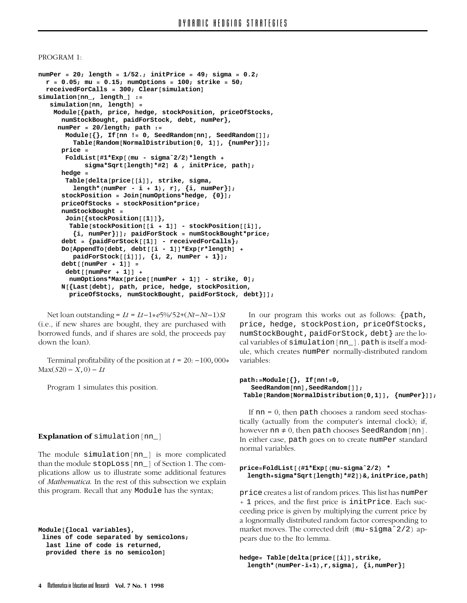#### PROGRAM 1:

```
numPer = 20; length = 1/52.; initPrice = 49; sigma = 0.2;
  r = 0.05; mu = 0.15; numOptions = 100; strike = 50;
 receivedForCalls = 300; Clear[simulation]
simulation[nn_, length_] :=
   simulation[nn, length] =
    Module[{path, price, hedge, stockPosition, priceOfStocks,
      numStockBought, paidForStock, debt, numPer},
     numPer = 20/length; path :=
       Module[{}, If[nn != 0, SeedRandom[nn], SeedRandom[]];
         Table[Random[NormalDistribution[0, 1]], {numPer}]];
      price =
      FoldList[#1*Exp[(mu - sigmaˆ2/2)*length +
            sigma*Sqrt[length]*#2] & , initPrice, path];
     hedge =
       Table[delta[price[[i]], strike, sigma,
         length*(numPer - i + 1), r], {i, numPer}];
      stockPosition = Join[numOptions*hedge, {0}];
      priceOfStocks = stockPosition*price;
     numStockBought =
      Join[{stockPosition[[1]]},
        Table[stockPosition[[i + 1]] - stockPosition[[i]],
         {i, numPer}]]; paidForStock = numStockBought*price;
      debt = {paidForStock[[1]] - receivedForCalls};
      Do[AppendTo[debt, debt[[i-1]]*Exp[r*length] +
         paidForStock[[i]]], {i, 2, numPer + 1}];
      debt[[numPer + 1]] =
       debt[[numPer + 1]] +
        numOptions*Max[price[[numPer + 1]] - strike, 0];
      N[{Last[debt], path, price, hedge, stockPosition,
        priceOfStocks, numStockBought, paidForStock, debt}]];
```
Net loan outstanding =  $Lt = Lt - 1*e5\% / 52 + (Nt - Nt - 1)$ *St* (i.e., if new shares are bought, they are purchased with borrowed funds, and if shares are sold, the proceeds pay down the loan).

Terminal profitability of the position at  $t = 20: -100,000*$  $Max(S20 - X, 0) - Lt$ 

Program 1 simulates this position.

# **Explanation of** simulation[nn\_]

The module simulation[nn\_] is more complicated than the module stopLoss[nn\_] of Section 1. The complications allow us to illustrate some additional features of *Mathematica*. In the rest of this subsection we explain this program. Recall that any Module has the syntax;

```
Module[{local variables},
 lines of code separated by semicolons;
 last line of code is returned,
  provided there is no semicolon]
```
In our program this works out as follows: {path, price, hedge, stockPostion, priceOfStocks, numStockBought, paidForStock, debt} are the local variables of simulation[nn\_]. path is itself a module, which creates numPer normally-distributed random variables:

```
path:=Module[{}, If[nn!=0,
   SeedRandom[nn],SeedRandom[]];
Table[Random[NormalDistribution[0,1]], {numPer}]];
```
If  $nn = 0$ , then path chooses a random seed stochastically (actually from the computer's internal clock); if, however nn  $\neq 0$ , then path chooses SeedRandom[nn]. In either case, path goes on to create numPer standard normal variables.

```
price=FoldList[(#1*Exp[(mu-sigmaˆ2/2) *
  length+sigma*Sqrt[length]*#2])&,initPrice,path]
```
price creates a list of random prices. This list has numPer + 1 prices, and the first price is initPrice. Each succeeding price is given by multiplying the current price by a lognormally distributed random factor corresponding to market moves. The corrected drift (mu-sigma<sup>^2/2)</sup> appears due to the Ito lemma.

```
hedge= Table[delta[price[[i]],strike,
  length*(numPer-i+1),r,sigma], {i,numPer}]
```